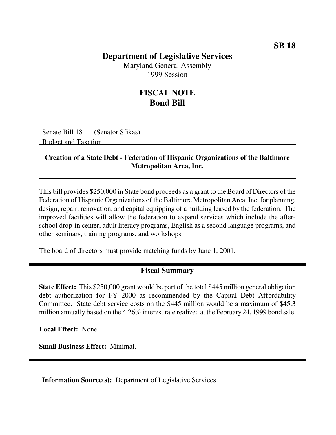## **Department of Legislative Services**

Maryland General Assembly 1999 Session

## **FISCAL NOTE Bond Bill**

Senate Bill 18 (Senator Sfikas) Budget and Taxation

## **Creation of a State Debt - Federation of Hispanic Organizations of the Baltimore Metropolitan Area, Inc.**

This bill provides \$250,000 in State bond proceeds as a grant to the Board of Directors of the Federation of Hispanic Organizations of the Baltimore Metropolitan Area, Inc. for planning, design, repair, renovation, and capital equipping of a building leased by the federation. The improved facilities will allow the federation to expand services which include the afterschool drop-in center, adult literacy programs, English as a second language programs, and other seminars, training programs, and workshops.

The board of directors must provide matching funds by June 1, 2001.

## **Fiscal Summary**

**State Effect:** This \$250,000 grant would be part of the total \$445 million general obligation debt authorization for FY 2000 as recommended by the Capital Debt Affordability Committee. State debt service costs on the \$445 million would be a maximum of \$45.3 million annually based on the 4.26% interest rate realized at the February 24, 1999 bond sale.

**Local Effect:** None.

**Small Business Effect:** Minimal.

**Information Source(s):** Department of Legislative Services